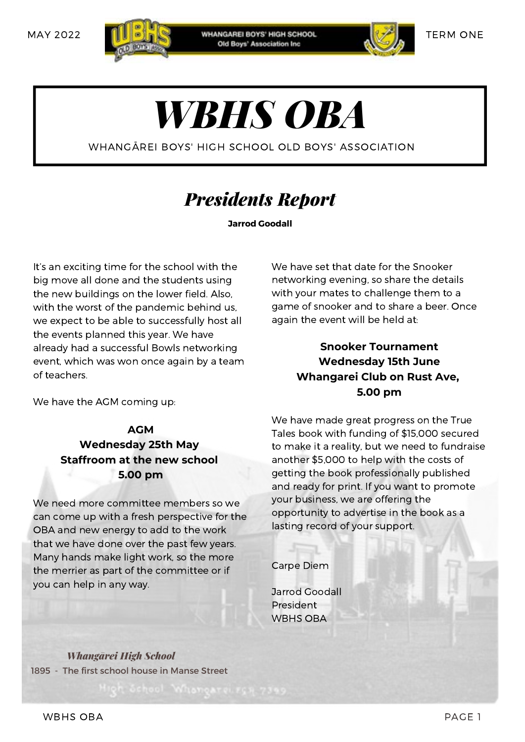

**WHANGAREI BOYS' HIGH SCHOOL** Old Boys' Association Inc.



TERM ONE

# *WBHS OBA*

WHANGĀREI BOYS' HIGH SCHOOL OLD BOYS' ASSOCIATION

### *Presidents Report*

**Jarrod Goodall**

It's an exciting time for the school with the big move all done and the students using the new buildings on the lower field. Also, with the worst of the pandemic behind us, we expect to be able to successfully host all the events planned this year. We have already had a successful Bowls networking event, which was won once again by a team of teachers.

We have the AGM coming up:

#### **AGM Wednesday 25th May Staffroom at the new school 5.00 pm**

We need more committee members so we can come up with a fresh perspective for the OBA and new energy to add to the work that we have done over the past few years. Many hands make light work, so the more the merrier as part of the committee or if you can help in any way.

We have set that date for the Snooker networking evening, so share the details with your mates to challenge them to a game of snooker and to share a beer. Once again the event will be held at:

#### **Snooker Tournament Wednesday 15th June Whangarei Club on Rust Ave, 5.00 pm**

We have made great progress on the True Tales book with funding of \$15,000 secured to make it a reality, but we need to fundraise another \$5,000 to help with the costs of getting the book professionally published and ready for print. If you want to promote your business, we are offering the opportunity to advertise in the book as a lasting record of your support.

Carpe Diem

Jarrod Goodall President WBHS OBA

*Whangārei High School* 1895 - The first school house in Manse Street

WBHS OBA PAGE 1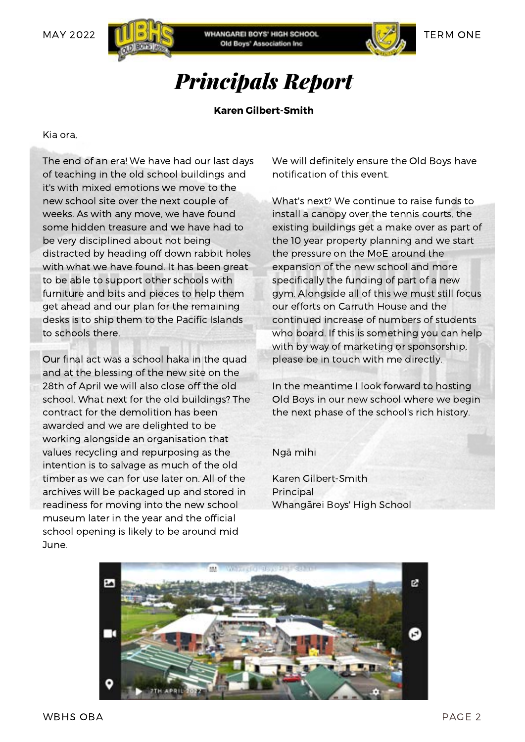



### *Principals Report*

#### **Karen Gilbert-Smith**

Kia ora,

The end of an era! We have had our last days of teaching in the old school buildings and it's with mixed emotions we move to the new school site over the next couple of weeks. As with any move, we have found some hidden treasure and we have had to be very disciplined about not being distracted by heading off down rabbit holes with what we have found. It has been great to be able to support other schools with furniture and bits and pieces to help them get ahead and our plan for the remaining desks is to ship them to the Pacific Islands to schools there.

Our final act was a school haka in the quad and at the blessing of the new site on the 28th of April we will also close off the old school. What next for the old buildings? The contract for the demolition has been awarded and we are delighted to be working alongside an organisation that values recycling and repurposing as the intention is to salvage as much of the old timber as we can for use later on. All of the archives will be packaged up and stored in readiness for moving into the new school museum later in the year and the official school opening is likely to be around mid June.

We will definitely ensure the Old Boys have notification of this event.

What's next? We continue to raise funds to install a canopy over the tennis courts, the existing buildings get a make over as part of the 10 year property planning and we start the pressure on the MoE around the expansion of the new school and more specifically the funding of part of a new gym. Alongside all of this we must still focus our efforts on Carruth House and the continued increase of numbers of students who board. If this is something you can help with by way of marketing or sponsorship, please be in touch with me directly.

In the meantime I look forward to hosting Old Boys in our new school where we begin the next phase of the school's rich history.

Ngā mihi

Karen Gilbert-Smith Principal Whangārei Boys' High School

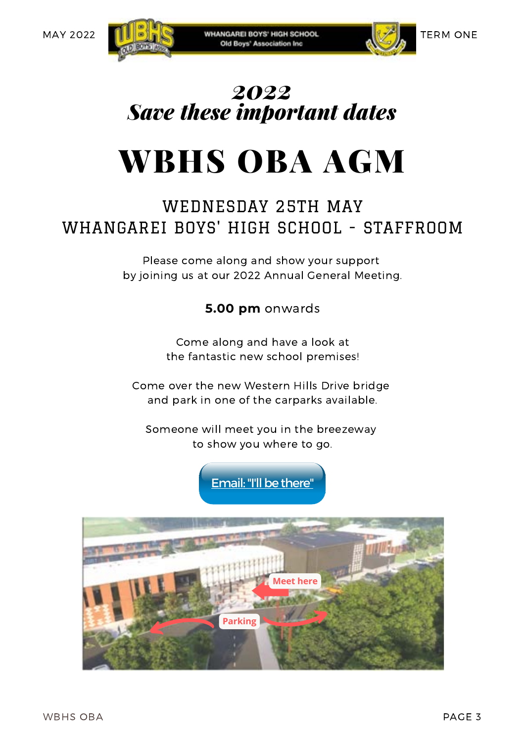

### *2022 Save these important dates*

## WBHS OBA AGM

#### WEDNESDAY 25TH MAY WHANGAREI BOYS' HIGH SCHOOL - STAFFROOM

Please come along and show your support by joining us at our 2022 Annual General Meeting.

#### **5.00 pm** onwards

Come along and have a look at the fantastic new school premises!

Come over the new Western Hills Drive bridge and park in one of the carparks available.

Someone will meet you in the breezeway to show you where to go.



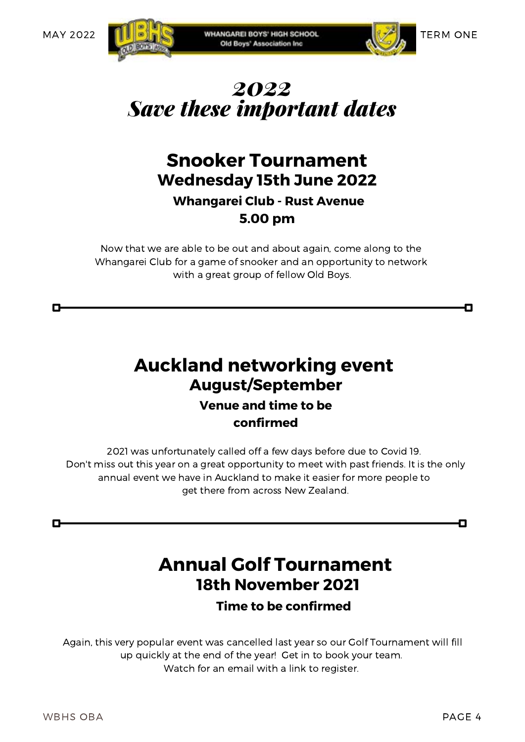



П



#### **Wednesday 15th June 2022 Snooker Tournament Whangarei Club - Rust Avenue 5.00 pm**

Now that we are able to be out and about again, come along to the Whangarei Club for a game of snooker and an opportunity to network with a great group of fellow Old Boys.

#### **Auckland networking event August/September Venue and time to be confirmed**

2021 was unfortunately called off a few days before due to Covid 19. Don't miss out this year on a great opportunity to meet with past friends. It is the only annual event we have in Auckland to make it easier for more people to get there from across New Zealand.

#### **18th November 2021 Annual Golf Tournament**

**Time to be confirmed**

Again, this very popular event was cancelled last year so our Golf Tournament will fill up quickly at the end of the year! Get in to book your team. Watch for an email with a link to register.

П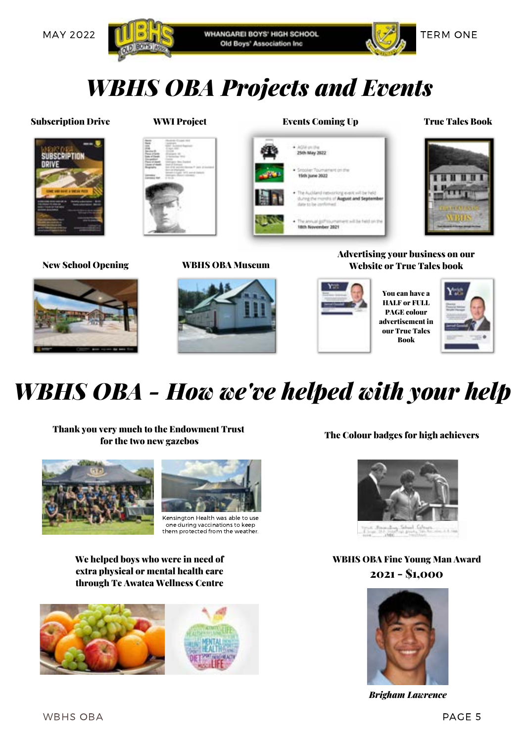



### *WBHS OBA Projects and Events*





25th May 2822

15th june 2022

The annual golf tournal





#### New School Opening WBHS OBA Museum



Advertising your business on our Website or True Tales book



**N** Ext during the months of August and Septemb

**Earl Se Not on the** 

You can have a HALF or FULL PAGE colour advertisement in our True Tales Book



### *WBHS OBA - How we've helped with your help*

Thank you very much to the Endowment Trust For the two new gazebos The Colour badges for high achievers





Kensington Health was able to use one during vaccinations to keep them protected from the weather.

We helped boys who were in need of extra physical or mental health care through Te Awatea Wellness Centre





WBHS OBA Fine Young Man Award 2021 - \$1,000



*Brigham Lawrence*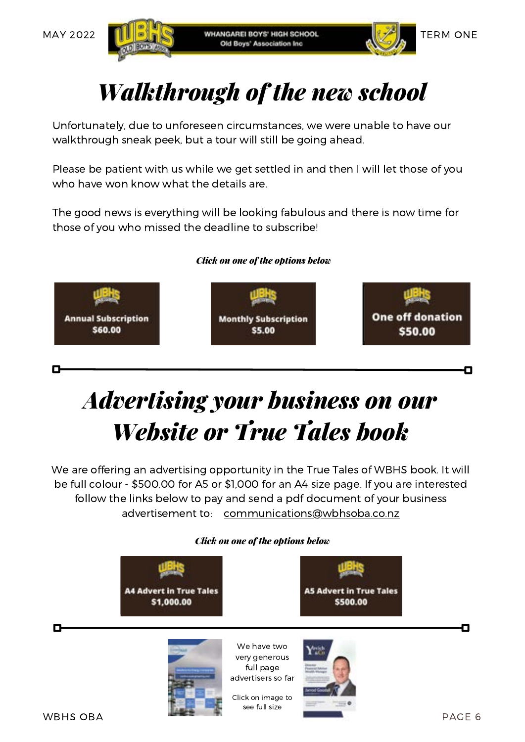



### *Walkthrough of the new school*

Unfortunately, due to unforeseen circumstances, we were unable to have our walkthrough sneak peek, but a tour will still be going ahead.

Please be patient with us while we get settled in and then I will let those of you who have won know what the details are.

The good news is everything will be looking fabulous and there is now time for those of you who missed the deadline to subscribe!

#### *Click on one of the options below*



### *Advertising your business on our Website or True Tales book*

We are offering an advertising opportunity in the True Tales of WBHS book. It will be full colour - \$500.00 for A5 or \$1,000 for an A4 size page. If you are interested follow the links below to pay and send a pdf document of your business advertisement to: [communications@wbhsoba.co.nz](mailto:communications@wbhsoba.co.nz)

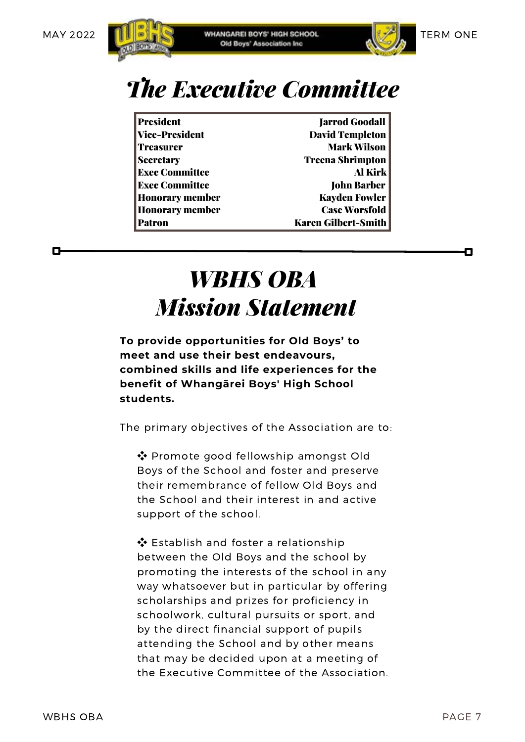п





О

### *The Executive Committee*

President **Iarrod Goodall** Vice-President David Templeton **Treasurer Mark Wilson** Secretary Treena Shrimpton Exec Committee Al Kirk Exec Committee **John Barber** Honorary member Kayden Fowler Honorary member Case Worsfold Patron Karen Gilbert-Smith

### *WBHS OBA Mission Statement*

**To provide opportunities for Old Boys' to meet and use their best endeavours, combined skills and life experiences for the benefit of Whangārei Boys' High School students.**

The primary objectives of the Association are to:

❖ Promote good fellowship amongst Old Boys of the School and foster and preserve their remembrance of fellow Old Boys and the School and their interest in and active support of the school.

❖ Establish and foster a relationship between the Old Boys and the school by promoting the interests of the school in any way whatsoever but in particular by offering scholarships and prizes for proficiency in schoolwork, cultural pursuits or sport, and by the direct financial support of pupils attending the School and by other means that may be decided upon at a meeting of the Executive Committee of the Association.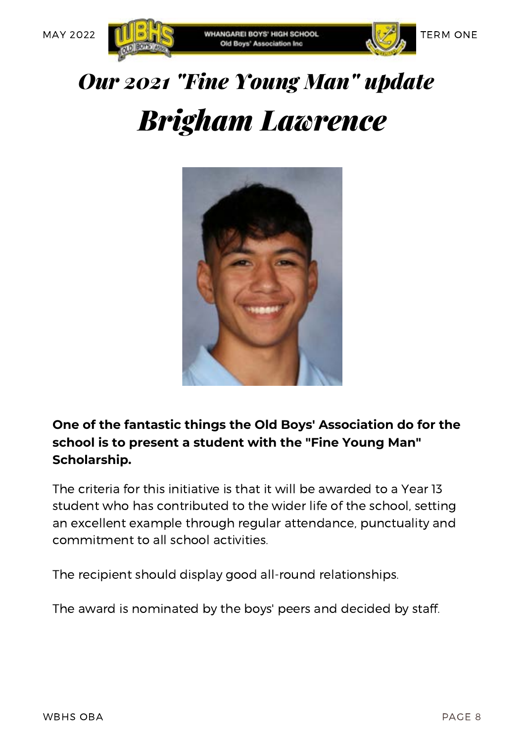



## *Brigham Lawrence Our 2021 "Fine Young Man" update*



**One of the fantastic things the Old Boys' Association do for the school is to present a student with the "Fine Young Man" Scholarship.**

The criteria for this initiative is that it will be awarded to a Year 13 student who has contributed to the wider life of the school, setting an excellent example through regular attendance, punctuality and commitment to all school activities.

The recipient should display good all-round relationships.

The award is nominated by the boys' peers and decided by staff.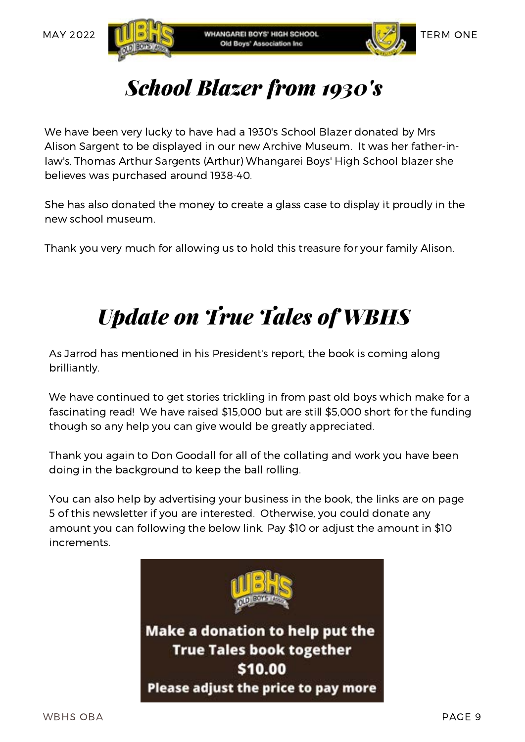



### *School Blazer from 1930's*

We have been very lucky to have had a 1930's School Blazer donated by Mrs Alison Sargent to be displayed in our new Archive Museum. It was her father-inlaw's, Thomas Arthur Sargents (Arthur) Whangarei Boys' High School blazer she believes was purchased around 1938-40.

She has also donated the money to create a glass case to display it proudly in the new school museum.

Thank you very much for allowing us to hold this treasure for your family Alison.

### *Update on True Tales of WBHS*

As Jarrod has mentioned in his President's report, the book is coming along brilliantly.

We have continued to get stories trickling in from past old boys which make for a fascinating read! We have raised \$15,000 but are still \$5,000 short for the funding though so any help you can give would be greatly appreciated.

Thank you again to Don Goodall for all of the collating and work you have been doing in the background to keep the ball rolling.

You can also help by advertising your business in the book, the links are on page 5 of this newsletter if you are interested. Otherwise, you could donate any amount you can following the below link. Pay \$10 or adjust the amount in \$10 increments.

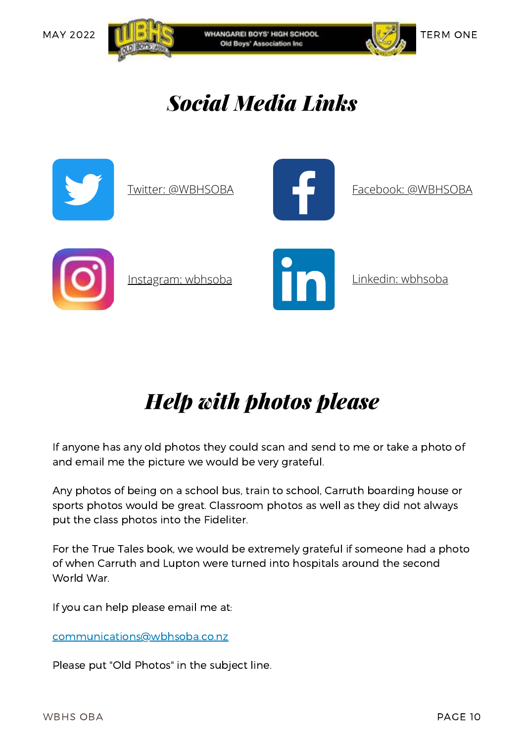





*Social Media Links*



### *Help with photos please*

If anyone has any old photos they could scan and send to me or take a photo of and email me the picture we would be very grateful.

Any photos of being on a school bus, train to school, Carruth boarding house or sports photos would be great. Classroom photos as well as they did not always put the class photos into the Fideliter.

For the True Tales book, we would be extremely grateful if someone had a photo of when Carruth and Lupton were turned into hospitals around the second World War.

If you can help please email me at:

[communications@wbhsoba.co.nz](mailto:communications@wbhsoba.co.nz)

Please put "Old Photos" in the subject line.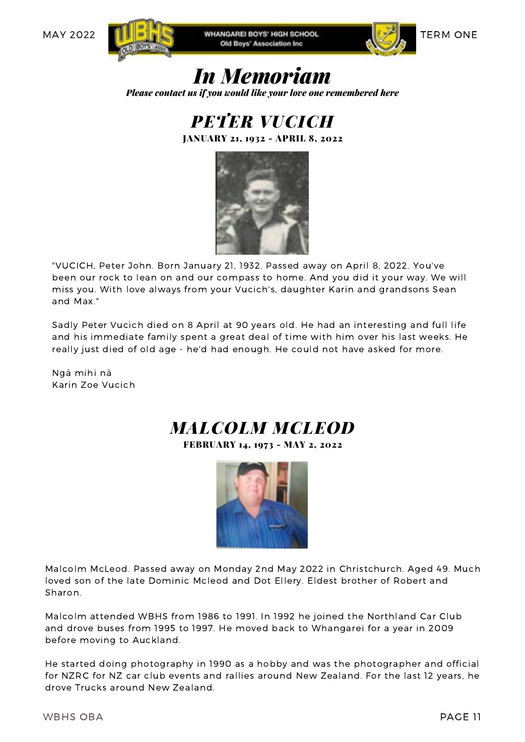





### *In Memoriam*

*Please contact us if you would like your love one remembered here*

*PETER VUCICH*

JANUARY 21, 1932 - APRIL 8, 2022



"VUCICH, Peter John. Born January 21, 1932. Passed away on April 8, 2022. You've been our rock to lean on and our compass to home. And you did it your way. We will miss you. With love always from your Vucich's, daughter Karin and grandsons Sean and Max."

Sadly Peter Vucich died on 8 April at 90 years old. He had an interesting and full life and his immediate family spent a great deal of time with him over his last weeks. He really just died of old age - he'd had enough. He could not have asked for more.

Ngā mihi nā Karin Zoe Vucich

#### *MALCOLM MCLEOD* FEBRUARY 14, 1973 - MAY 2, 2022



Malcolm McLeod. Passed away on Monday 2nd May 2022 in Christchurch. Aged 49. Much loved son of the late Dominic Mcleod and Dot Ellery. Eldest brother of Robert and Sharon.

Malcolm attended WBHS from 1986 to 1991. In 1992 he joined the Northland Car Club and drove buses from 1995 to 1997. He moved back to Whangarei for a year in 2009 before moving to Auckland.

He started doing photography in 1990 as a hobby and was the photographer and official for NZRC for NZ car club events and rallies around New Zealand. For the last 12 years, he drove Trucks around New Zealand.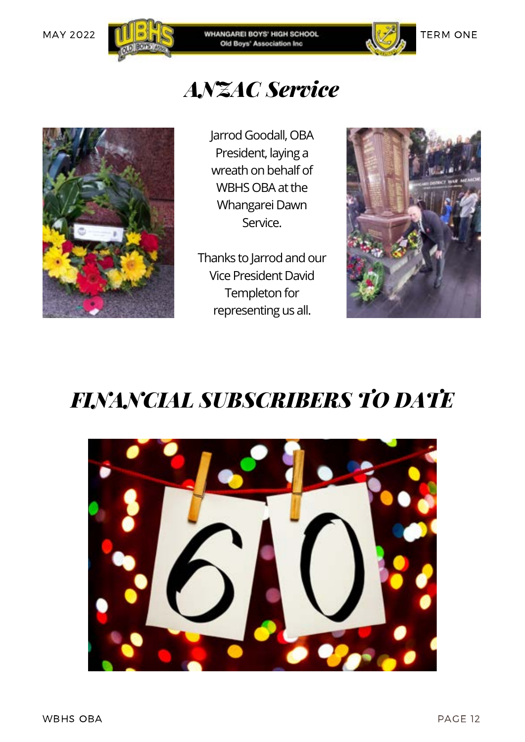



## *ANZAC Service*



Jarrod Goodall, OBA President, laying a wreath on behalf of WBHS OBA at the Whangarei Dawn Service.

Thanks to Jarrod and our Vice President David Templeton for representing us all.



### *FINANCIAL SUBSCRIBERS TO DATE*

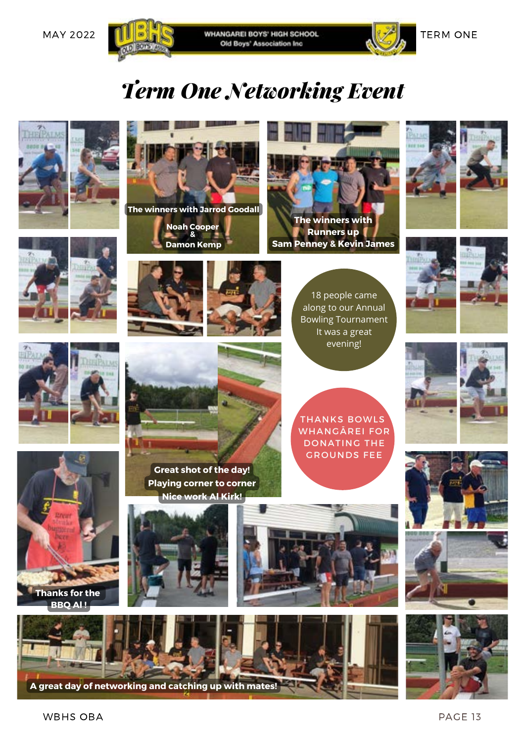

MAY 2022 **TERM ONE** WHANGAREL BOYS' HIGH SCHOOL **AND ARREL SCHOOL** TERM ONE



*Term One Networking Event*









**The winners with Jarrod Goodall**

**Noah Cooper & Damon Kemp**



**Sam Penney & Kevin James**

18 people came along to our Annual Bowling Tournament It was a great evening!













THANKS BOWLS WHANGĀREI FOR DONATING THE





**Thanks for the BBO AL!** 













WBHS OBA PAGE 13